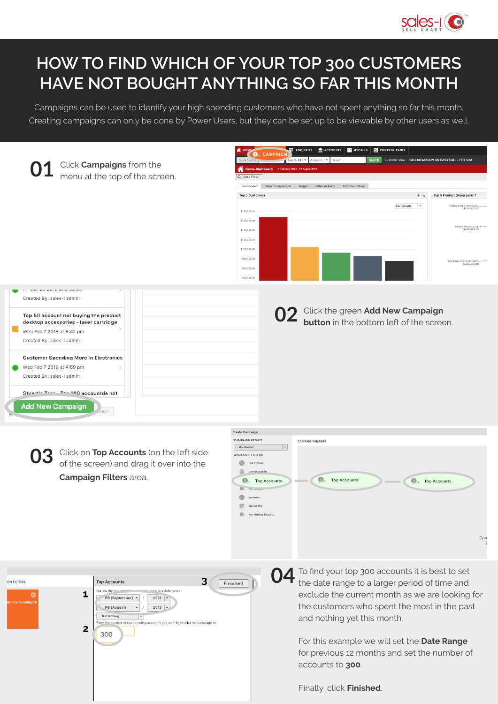

## **HOW TO FIND WHICH OF YOUR TOP 300 CUSTOMERS HAVE NOT BOUGHT ANYTHING SO FAR THIS MONTH**

Campaigns can be used to identify your high spending customers who have not spent anything so far this month. Creating campaigns can only be done by Power Users, but they can be set up to be viewable by other users as well.

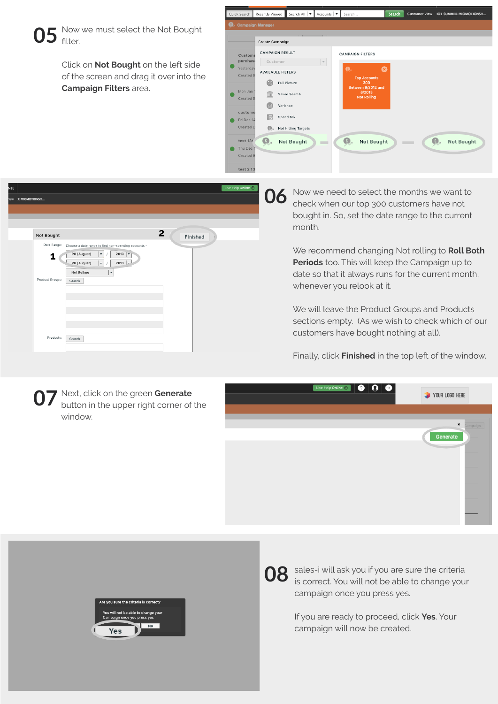

Click on **Not Bought** on the left side of the screen and drag it over into the **Campaign Filters** area.





Now we need to select the months we want to check when our top 300 customers have not bought in. So, set the date range to the current month. **06**

> We recommend changing Not rolling to **Roll Both Periods** too. This will keep the Campaign up to date so that it always runs for the current month, whenever you relook at it.

We will leave the Product Groups and Products sections empty. (As we wish to check which of our customers have bought nothing at all).

Finally, click **Finished** in the top left of the window.







**08** sales-i will ask you if you are sure the criteria is correct. You will not be able to change you is correct. You will not be able to change your campaign once you press yes.

> If you are ready to proceed, click **Yes**. Your campaign will now be created.